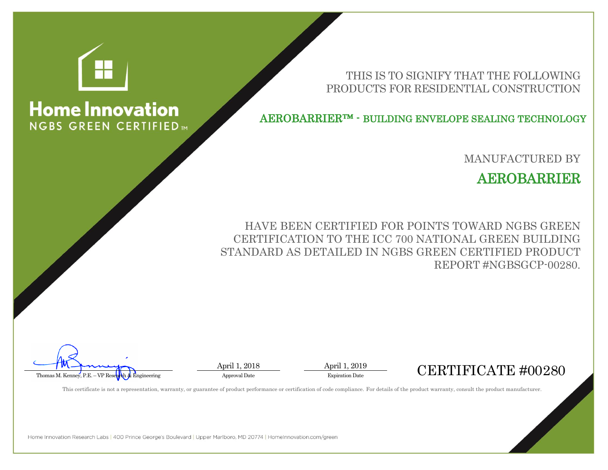

**Home Innovation** 

**NGBS GREEN CERTIFIED™** 

THIS IS TO SIGNIFY THAT THE FOLLOWING PRODUCTS FOR RESIDENTIAL CONSTRUCTION

AEROBARRIER™ - BUILDING ENVELOPE SEALING TECHNOLOGY

MANUFACTURED BY

AEROBARRIER

HAVE BEEN CERTIFIED FOR POINTS TOWARD NGBS GREEN CERTIFICATION TO THE ICC 700 NATIONAL GREEN BUILDING STANDARD AS DETAILED IN NGBS GREEN CERTIFIED PRODUCT REPORT #NGBSGCP-00280.



April 1, 2018 April 1, 2019



This certificate is not a representation, warranty, or guarantee of product performance or certification of code compliance. For details of the product warranty, consult the product manufacturer.

Home Innovation Research Labs | 400 Prince George's Boulevard | Upper Marlboro, MD 20774 | HomeInnovation.com/green